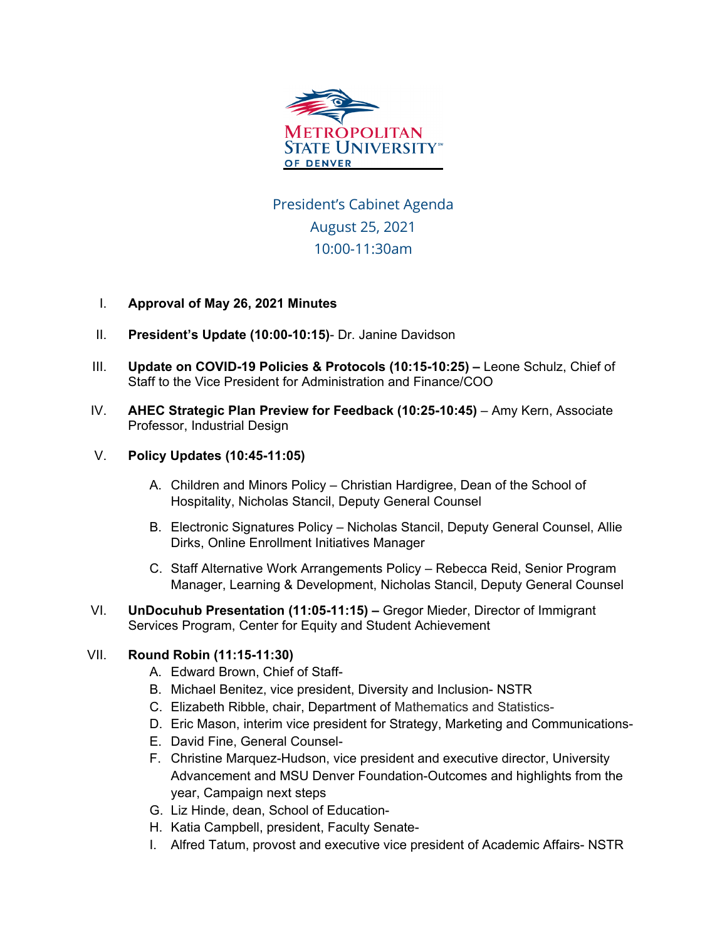

President's Cabinet Agenda August 25, 2021 10:00-11:30am

## I. **Approval of May 26, 2021 Minutes**

- II. **President's Update (10:00-10:15)** Dr. Janine Davidson
- III. **Update on COVID-19 Policies & Protocols (10:15-10:25) –** Leone Schulz, Chief of Staff to the Vice President for Administration and Finance/COO
- IV. **AHEC Strategic Plan Preview for Feedback (10:25-10:45)** Amy Kern, Associate Professor, Industrial Design

## V. **Policy Updates (10:45-11:05)**

- A. Children and Minors Policy Christian Hardigree, Dean of the School of Hospitality, Nicholas Stancil, Deputy General Counsel
- B. Electronic Signatures Policy Nicholas Stancil, Deputy General Counsel, Allie Dirks, Online Enrollment Initiatives Manager
- C. Staff Alternative Work Arrangements Policy Rebecca Reid, Senior Program Manager, Learning & Development, Nicholas Stancil, Deputy General Counsel
- VI. **UnDocuhub Presentation (11:05-11:15) –** Gregor Mieder, Director of Immigrant Services Program, Center for Equity and Student Achievement

## VII. **Round Robin (11:15-11:30)**

- A. Edward Brown, Chief of Staff-
- B. Michael Benitez, vice president, Diversity and Inclusion- NSTR
- C. Elizabeth Ribble, chair, Department of Mathematics and Statistics-
- D. Eric Mason, interim vice president for Strategy, Marketing and Communications-
- E. David Fine, General Counsel-
- F. Christine Marquez-Hudson, vice president and executive director, University Advancement and MSU Denver Foundation-Outcomes and highlights from the year, Campaign next steps
- G. Liz Hinde, dean, School of Education-
- H. Katia Campbell, president, Faculty Senate-
- I. Alfred Tatum, provost and executive vice president of Academic Affairs- NSTR